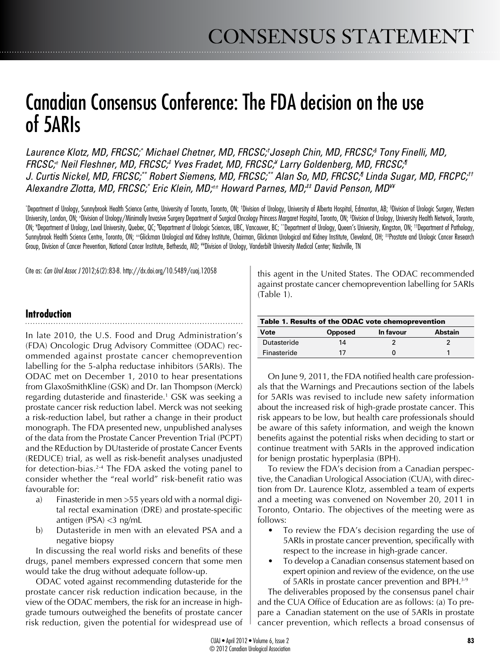# Canadian Consensus Conference: The FDA decision on the use of 5ARIs

*Laurence Klotz, MD, FRCSC;\* Michael Chetner, MD, FRCSC;† Joseph Chin, MD, FRCSC;§ Tony Finelli, MD, FRCSC;± Neil Fleshner, MD, FRCSC;‡ Yves Fradet, MD, FRCSC;¥ Larry Goldenberg, MD, FRCSC;¶ J. Curtis Nickel, MD, FRCSC;\*\* Robert Siemens, MD, FRCSC;\*\* Alan So, MD, FRCSC;¶ Linda Sugar, MD, FRCPC;†† Alexandre Zlotta, MD, FRCSC;\* Eric Klein, MD;±± Howard Parnes, MD;‡‡ David Penson, MD¥¥*

\*Department of Urology, Sunnybrook Health Science Centre, University of Toronto, Toronto, ON; †Division of Urology, University of Alberta Hospital, Edmonton, AB; §Division of Urologic Surgery, Western University, London, ON; ±Division of Urology/Minimally Invasive Surgery Department of Surgical Oncology Princess Margaret Hospital, Toronto, ON; ‡Division of Urology, University Health Network, Toronto, ON; \*Department of Urology, Laval University, Quebec, QC; \*Department of Urologic Sciences, UBC, Vancouver, BC; \*\*Department of Urology, Queen's University, Kingston, ON; ††Department of Pathology, Sunnybrook Health Science Centre, Toronto, ON; ±±Glickman Urological and Kidney Institute, Chairman, Glickman Urological and Kidney Institute, Cleveland, OH; ‡prostate and Urologic Cancer Research Group, Division of Cancer Prevention, National Cancer Institute, Bethesda, MD; \*\*Division of Urology, Vanderbilt University Medical Center; Nashville, TN

Cite as: *Can Urol Assoc J* 2012;6(2):83-8. http://dx.doi.org/10.5489/cuaj.12058

## **Introduction**

In late 2010, the U.S. Food and Drug Administration's (FDA) Oncologic Drug Advisory Committee (ODAC) recommended against prostate cancer chemoprevention labelling for the 5-alpha reductase inhibitors (5ARIs). The ODAC met on December 1, 2010 to hear presentations from GlaxoSmithKline (GSK) and Dr. Ian Thompson (Merck) regarding dutasteride and finasteride.1 GSK was seeking a prostate cancer risk reduction label. Merck was not seeking a risk-reduction label, but rather a change in their product monograph. The FDA presented new, unpublished analyses of the data from the Prostate Cancer Prevention Trial (PCPT) and the REduction by DUtasteride of prostate Cancer Events (REDUCE) trial, as well as risk-benefit analyses unadjusted for detection-bias.<sup>2-4</sup> The FDA asked the voting panel to consider whether the "real world" risk-benefit ratio was favourable for:

- a) Finasteride in men >55 years old with a normal digital rectal examination (DRE) and prostate-specific antigen (PSA) <3 ng/mL
- b) Dutasteride in men with an elevated PSA and a negative biopsy

In discussing the real world risks and benefits of these drugs, panel members expressed concern that some men would take the drug without adequate follow-up.

ODAC voted against recommending dutasteride for the prostate cancer risk reduction indication because, in the view of the ODAC members, the risk for an increase in highgrade tumours outweighed the benefits of prostate cancer risk reduction, given the potential for widespread use of this agent in the United States. The ODAC recommended against prostate cancer chemoprevention labelling for 5ARIs (Table 1).

| Table 1. Results of the ODAC vote chemoprevention |                |           |                |
|---------------------------------------------------|----------------|-----------|----------------|
| Vote                                              | <b>Opposed</b> | In favour | <b>Abstain</b> |
| Dutasteride                                       | 14             |           |                |
| Finasteride                                       | 17             |           |                |

On June 9, 2011, the FDA notified health care professionals that the Warnings and Precautions section of the labels for 5ARIs was revised to include new safety information about the increased risk of high-grade prostate cancer. This risk appears to be low, but health care professionals should be aware of this safety information, and weigh the known benefits against the potential risks when deciding to start or continue treatment with 5ARIs in the approved indication for benign prostatic hyperplasia (BPH).

To review the FDA's decision from a Canadian perspective, the Canadian Urological Association (CUA), with direction from Dr. Laurence Klotz, assembled a team of experts and a meeting was convened on November 20, 2011 in Toronto, Ontario. The objectives of the meeting were as follows:

- To review the FDA's decision regarding the use of 5ARIs in prostate cancer prevention, specifically with respect to the increase in high-grade cancer.
- To develop a Canadian consensus statement based on expert opinion and review of the evidence, on the use of 5ARIs in prostate cancer prevention and BPH.3-9

The deliverables proposed by the consensus panel chair and the CUA Office of Education are as follows: (a) To prepare a Canadian statement on the use of 5ARIs in prostate cancer prevention, which reflects a broad consensus of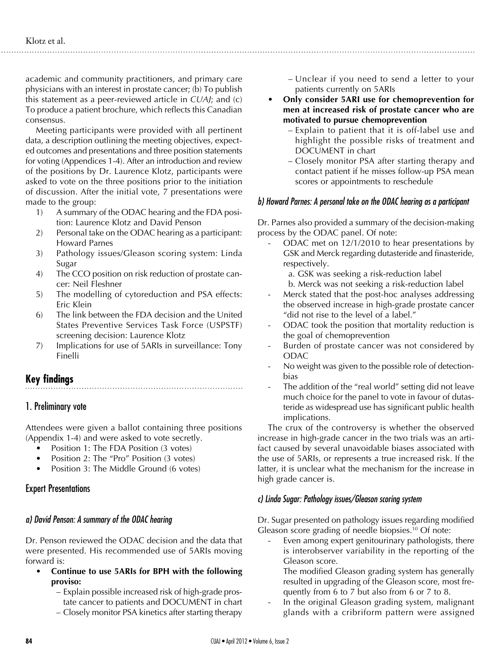academic and community practitioners, and primary care physicians with an interest in prostate cancer; (b) To publish this statement as a peer-reviewed article in *CUAJ*; and (c) To produce a patient brochure, which reflects this Canadian consensus.

Meeting participants were provided with all pertinent data, a description outlining the meeting objectives, expected outcomes and presentations and three position statements for voting (Appendices 1-4). After an introduction and review of the positions by Dr. Laurence Klotz, participants were asked to vote on the three positions prior to the initiation of discussion. After the initial vote, 7 presentations were made to the group:

- 1) A summary of the ODAC hearing and the FDA position: Laurence Klotz and David Penson
- 2) Personal take on the ODAC hearing as a participant: Howard Parnes
- 3) Pathology issues/Gleason scoring system: Linda Sugar
- 4) The CCO position on risk reduction of prostate cancer: Neil Fleshner
- 5) The modelling of cytoreduction and PSA effects: Eric Klein
- 6) The link between the FDA decision and the United States Preventive Services Task Force (USPSTF) screening decision: Laurence Klotz
- 7) Implications for use of 5ARIs in surveillance: Tony Finelli

# **Key findings**

# 1. Preliminary vote

Attendees were given a ballot containing three positions (Appendix 1-4) and were asked to vote secretly.

- Position 1: The FDA Position (3 votes)
- Position 2: The "Pro" Position (3 votes)
- Position 3: The Middle Ground (6 votes)

# Expert Presentations

#### *a) David Penson: A summary of the ODAC hearing*

Dr. Penson reviewed the ODAC decision and the data that were presented. His recommended use of 5ARIs moving forward is:

- **• Continue to use 5ARIs for BPH with the following proviso:**
	- Explain possible increased risk of high-grade prostate cancer to patients and DOCUMENT in chart
	- Closely monitor PSA kinetics after starting therapy
- Unclear if you need to send a letter to your patients currently on 5ARIs
- **• Only consider 5ARI use for chemoprevention for men at increased risk of prostate cancer who are motivated to pursue chemoprevention**
	- Explain to patient that it is off-label use and highlight the possible risks of treatment and DOCUMENT in chart
	- Closely monitor PSA after starting therapy and contact patient if he misses follow-up PSA mean scores or appointments to reschedule

## *b) Howard Parnes: A personal take on the ODAC hearing as a participant*

Dr. Parnes also provided a summary of the decision-making process by the ODAC panel. Of note:

- ODAC met on 12/1/2010 to hear presentations by GSK and Merck regarding dutasteride and finasteride, respectively.
	- a. GSK was seeking a risk-reduction label b. Merck was not seeking a risk-reduction label
- Merck stated that the post-hoc analyses addressing the observed increase in high-grade prostate cancer "did not rise to the level of a label."
- ODAC took the position that mortality reduction is the goal of chemoprevention
- Burden of prostate cancer was not considered by ODAC
- No weight was given to the possible role of detectionbias
- The addition of the "real world" setting did not leave much choice for the panel to vote in favour of dutasteride as widespread use has significant public health implications.

The crux of the controversy is whether the observed increase in high-grade cancer in the two trials was an artifact caused by several unavoidable biases associated with the use of 5ARIs, or represents a true increased risk. If the latter, it is unclear what the mechanism for the increase in high grade cancer is.

# *c) Linda Sugar: Pathology issues/Gleason scoring system*

Dr. Sugar presented on pathology issues regarding modified Gleason score grading of needle biopsies.<sup>10</sup> Of note:

Even among expert genitourinary pathologists, there is interobserver variability in the reporting of the Gleason score.

The modified Gleason grading system has generally resulted in upgrading of the Gleason score, most frequently from 6 to 7 but also from 6 or 7 to 8.

In the original Gleason grading system, malignant glands with a cribriform pattern were assigned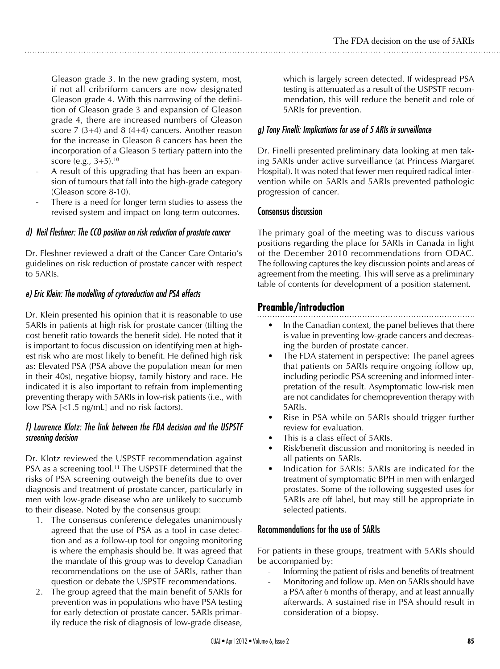Gleason grade 3. In the new grading system, most, if not all cribriform cancers are now designated Gleason grade 4. With this narrowing of the definition of Gleason grade 3 and expansion of Gleason grade 4, there are increased numbers of Gleason score 7 (3+4) and 8 (4+4) cancers. Another reason for the increase in Gleason 8 cancers has been the incorporation of a Gleason 5 tertiary pattern into the score (e.g.,  $3+5$ ).<sup>10</sup>

- A result of this upgrading that has been an expansion of tumours that fall into the high-grade category (Gleason score 8-10).
- There is a need for longer term studies to assess the revised system and impact on long-term outcomes.

## *d) Neil Fleshner: The CCO position on risk reduction of prostate cancer*

Dr. Fleshner reviewed a draft of the Cancer Care Ontario's guidelines on risk reduction of prostate cancer with respect to 5ARIs.

# *e) Eric Klein: The modelling of cytoreduction and PSA effects*

Dr. Klein presented his opinion that it is reasonable to use 5ARIs in patients at high risk for prostate cancer (tilting the cost benefit ratio towards the benefit side). He noted that it is important to focus discussion on identifying men at highest risk who are most likely to benefit. He defined high risk as: Elevated PSA (PSA above the population mean for men in their 40s), negative biopsy, family history and race. He indicated it is also important to refrain from implementing preventing therapy with 5ARIs in low-risk patients (i.e., with low PSA [<1.5 ng/mL] and no risk factors).

#### *f) Laurence Klotz: The link between the FDA decision and the USPSTF screening decision*

Dr. Klotz reviewed the USPSTF recommendation against PSA as a screening tool.<sup>11</sup> The USPSTF determined that the risks of PSA screening outweigh the benefits due to over diagnosis and treatment of prostate cancer, particularly in men with low-grade disease who are unlikely to succumb to their disease. Noted by the consensus group:

- 1. The consensus conference delegates unanimously agreed that the use of PSA as a tool in case detection and as a follow-up tool for ongoing monitoring is where the emphasis should be. It was agreed that the mandate of this group was to develop Canadian recommendations on the use of 5ARIs, rather than question or debate the USPSTF recommendations.
- 2. The group agreed that the main benefit of 5ARIs for prevention was in populations who have PSA testing for early detection of prostate cancer. 5ARIs primarily reduce the risk of diagnosis of low-grade disease,

which is largely screen detected. If widespread PSA testing is attenuated as a result of the USPSTF recommendation, this will reduce the benefit and role of 5ARIs for prevention.

# *g) Tony Finelli: Implications for use of 5 ARIs in surveillance*

Dr. Finelli presented preliminary data looking at men taking 5ARIs under active surveillance (at Princess Margaret Hospital). It was noted that fewer men required radical intervention while on 5ARIs and 5ARIs prevented pathologic progression of cancer.

## Consensus discussion

The primary goal of the meeting was to discuss various positions regarding the place for 5ARIs in Canada in light of the December 2010 recommendations from ODAC. The following captures the key discussion points and areas of agreement from the meeting. This will serve as a preliminary table of contents for development of a position statement.

# **Preamble/introduction**

- In the Canadian context, the panel believes that there is value in preventing low-grade cancers and decreasing the burden of prostate cancer.
- The FDA statement in perspective: The panel agrees that patients on 5ARIs require ongoing follow up, including periodic PSA screening and informed interpretation of the result. Asymptomatic low-risk men are not candidates for chemoprevention therapy with 5ARIs.
- Rise in PSA while on 5ARIs should trigger further review for evaluation.
- This is a class effect of 5ARIs.
- Risk/benefit discussion and monitoring is needed in all patients on 5ARIs.
- Indication for 5ARIs: 5ARIs are indicated for the treatment of symptomatic BPH in men with enlarged prostates. Some of the following suggested uses for 5ARIs are off label, but may still be appropriate in selected patients.

# Recommendations for the use of 5ARIs

For patients in these groups, treatment with 5ARIs should be accompanied by:

- Informing the patient of risks and benefits of treatment
- Monitoring and follow up. Men on 5ARIs should have a PSA after 6 months of therapy, and at least annually afterwards. A sustained rise in PSA should result in consideration of a biopsy.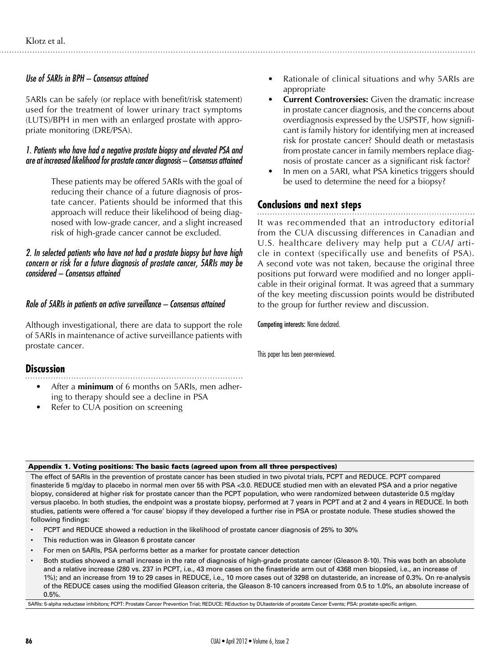## *Use of 5ARIs in BPH – Consensus attained*

5ARIs can be safely (or replace with benefit/risk statement) used for the treatment of lower urinary tract symptoms (LUTS)/BPH in men with an enlarged prostate with appropriate monitoring (DRE/PSA).

#### *1. Patients who have had a negative prostate biopsy and elevated PSA and are at increased likelihood for prostate cancer diagnosis – Consensus attained*

These patients may be offered 5ARIs with the goal of reducing their chance of a future diagnosis of prostate cancer. Patients should be informed that this approach will reduce their likelihood of being diagnosed with low-grade cancer, and a slight increased risk of high-grade cancer cannot be excluded.

#### *2. In selected patients who have not had a prostate biopsy but have high concern or risk for a future diagnosis of prostate cancer, 5ARIs may be considered – Consensus attained*

#### *Role of 5ARIs in patients on active surveillance – Consensus attained*

Although investigational, there are data to support the role of 5ARIs in maintenance of active surveillance patients with prostate cancer.

#### **Discussion**

- - After a **minimum** of 6 months on 5ARIs, men adhering to therapy should see a decline in PSA
	- Refer to CUA position on screening
- Rationale of clinical situations and why 5ARIs are appropriate
- **Current Controversies:** Given the dramatic increase in prostate cancer diagnosis, and the concerns about overdiagnosis expressed by the USPSTF, how significant is family history for identifying men at increased risk for prostate cancer? Should death or metastasis from prostate cancer in family members replace diagnosis of prostate cancer as a significant risk factor?
- In men on a 5ARI, what PSA kinetics triggers should be used to determine the need for a biopsy?

# **Conclusions and next steps**

It was recommended that an introductory editorial from the CUA discussing differences in Canadian and U.S. healthcare delivery may help put a *CUAJ* article in context (specifically use and benefits of PSA). A second vote was not taken, because the original three positions put forward were modified and no longer applicable in their original format. It was agreed that a summary of the key meeting discussion points would be distributed to the group for further review and discussion.

Competing interests: None declared.

This paper has been peer-reviewed.

#### Appendix 1. Voting positions: The basic facts (agreed upon from all three perspectives)

The effect of 5ARIs in the prevention of prostate cancer has been studied in two pivotal trials, PCPT and REDUCE. PCPT compared finasteride 5 mg/day to placebo in normal men over 55 with PSA <3.0. REDUCE studied men with an elevated PSA and a prior negative biopsy, considered at higher risk for prostate cancer than the PCPT population, who were randomized between dutasteride 0.5 mg/day versus placebo. In both studies, the endpoint was a prostate biopsy, performed at 7 years in PCPT and at 2 and 4 years in REDUCE. In both studies, patients were offered a 'for cause' biopsy if they developed a further rise in PSA or prostate nodule. These studies showed the following findings:

- PCPT and REDUCE showed a reduction in the likelihood of prostate cancer diagnosis of 25% to 30%
- This reduction was in Gleason 6 prostate cancer
- For men on 5ARIs, PSA performs better as a marker for prostate cancer detection
- Both studies showed a small increase in the rate of diagnosis of high-grade prostate cancer (Gleason 8-10). This was both an absolute and a relative increase (280 vs. 237 in PCPT, i.e., 43 more cases on the finasteride arm out of 4368 men biopsied, i.e., an increase of 1%); and an increase from 19 to 29 cases in REDUCE, i.e., 10 more cases out of 3298 on dutasteride, an increase of 0.3%. On re-analysis of the REDUCE cases using the modified Gleason criteria, the Gleason 8-10 cancers increased from 0.5 to 1.0%, an absolute increase of 0.5%.

5ARIs: 5-alpha reductase inhibitors; PCPT: Prostate Cancer Prevention Trial; REDUCE: REduction by DUtasteride of prostate Cancer Events; PSA: prostate-specific antigen.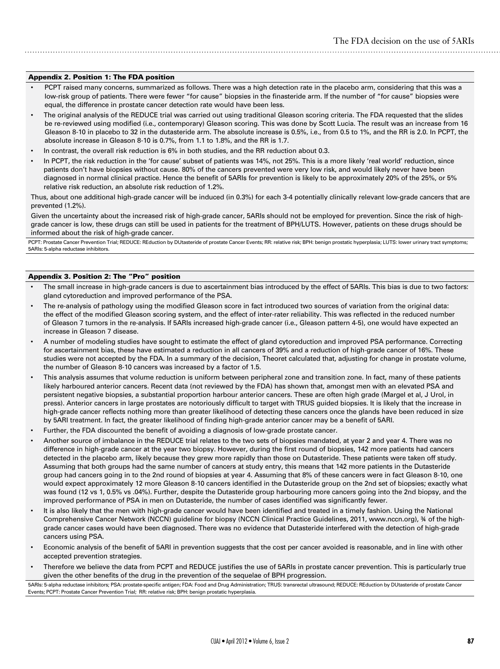#### Appendix 2. Position 1: The FDA position

- PCPT raised many concerns, summarized as follows. There was a high detection rate in the placebo arm, considering that this was a low-risk group of patients. There were fewer "for cause" biopsies in the finasteride arm. If the number of "for cause" biopsies were equal, the difference in prostate cancer detection rate would have been less.
- The original analysis of the REDUCE trial was carried out using traditional Gleason scoring criteria. The FDA requested that the slides be re-reviewed using modified (i.e., contemporary) Gleason scoring. This was done by Scott Lucia. The result was an increase from 16 Gleason 8-10 in placebo to 32 in the dutasteride arm. The absolute increase is 0.5%, i.e., from 0.5 to 1%, and the RR is 2.0. In PCPT, the absolute increase in Gleason 8-10 is 0.7%, from 1.1 to 1.8%, and the RR is 1.7.
- In contrast, the overall risk reduction is 6% in both studies, and the RR reduction about 0.3.
- In PCPT, the risk reduction in the 'for cause' subset of patients was 14%, not 25%. This is a more likely 'real world' reduction, since patients don't have biopsies without cause. 80% of the cancers prevented were very low risk, and would likely never have been diagnosed in normal clinical practice. Hence the benefit of 5ARIs for prevention is likely to be approximately 20% of the 25%, or 5% relative risk reduction, an absolute risk reduction of 1.2%.

Thus, about one additional high-grade cancer will be induced (in 0.3%) for each 3-4 potentially clinically relevant low-grade cancers that are prevented (1.2%).

Given the uncertainty about the increased risk of high-grade cancer, 5ARIs should not be employed for prevention. Since the risk of highgrade cancer is low, these drugs can still be used in patients for the treatment of BPH/LUTS. However, patients on these drugs should be informed about the risk of high-grade cancer.

PCPT: Prostate Cancer Prevention Trial; REDUCE: REduction by DUtasteride of prostate Cancer Events; RR: relative risk; BPH: benign prostatic hyperplasia; LUTS: lower urinary tract symptoms; 5ARIs: 5-alpha reductase inhibitors.

#### Appendix 3. Position 2: The "Pro" position

- The small increase in high-grade cancers is due to ascertainment bias introduced by the effect of 5ARIs. This bias is due to two factors: gland cytoreduction and improved performance of the PSA.
- The re-analysis of pathology using the modified Gleason score in fact introduced two sources of variation from the original data: the effect of the modified Gleason scoring system, and the effect of inter-rater reliability. This was reflected in the reduced number of Gleason 7 tumors in the re-analysis. If 5ARIs increased high-grade cancer (i.e., Gleason pattern 4-5), one would have expected an increase in Gleason 7 disease.
- A number of modeling studies have sought to estimate the effect of gland cytoreduction and improved PSA performance. Correcting for ascertainment bias, these have estimated a reduction in all cancers of 39% and a reduction of high-grade cancer of 16%. These studies were not accepted by the FDA. In a summary of the decision, Theoret calculated that, adjusting for change in prostate volume, the number of Gleason 8-10 cancers was increased by a factor of 1.5.
- This analysis assumes that volume reduction is uniform between peripheral zone and transition zone. In fact, many of these patients likely harboured anterior cancers. Recent data (not reviewed by the FDA) has shown that, amongst men with an elevated PSA and persistent negative biopsies, a substantial proportion harbour anterior cancers. These are often high grade (Margel et al, J Urol, in press). Anterior cancers in large prostates are notoriously difficult to target with TRUS guided biopsies. It is likely that the increase in high-grade cancer reflects nothing more than greater likelihood of detecting these cancers once the glands have been reduced in size by 5ARI treatment. In fact, the greater likelihood of finding high-grade anterior cancer may be a benefit of 5ARI.
- Further, the FDA discounted the benefit of avoiding a diagnosis of low-grade prostate cancer.
- Another source of imbalance in the REDUCE trial relates to the two sets of biopsies mandated, at year 2 and year 4. There was no difference in high-grade cancer at the year two biopsy. However, during the first round of biopsies, 142 more patients had cancers detected in the placebo arm, likely because they grew more rapidly than those on Dutasteride. These patients were taken off study. Assuming that both groups had the same number of cancers at study entry, this means that 142 more patients in the Dutasteride group had cancers going in to the 2nd round of biopsies at year 4. Assuming that 8% of these cancers were in fact Gleason 8-10, one would expect approximately 12 more Gleason 8-10 cancers identified in the Dutasteride group on the 2nd set of biopsies; exactly what was found (12 vs 1, 0.5% vs .04%). Further, despite the Dutasteride group harbouring more cancers going into the 2nd biopsy, and the improved performance of PSA in men on Dutasteride, the number of cases identified was significantly fewer.
- It is also likely that the men with high-grade cancer would have been identified and treated in a timely fashion. Using the National Comprehensive Cancer Network (NCCN) guideline for biopsy (NCCN Clinical Practice Guidelines, 2011, www.nccn.org), ¾ of the highgrade cancer cases would have been diagnosed. There was no evidence that Dutasteride interfered with the detection of high-grade cancers using PSA.
- Economic analysis of the benefit of 5ARI in prevention suggests that the cost per cancer avoided is reasonable, and in line with other accepted prevention strategies.
- Therefore we believe the data from PCPT and REDUCE justifies the use of 5ARIs in prostate cancer prevention. This is particularly true given the other benefits of the drug in the prevention of the sequelae of BPH progression.

5ARIs: 5-alpha reductase inhibitors; PSA: prostate-specific antigen; FDA: Food and Drug Administration; TRUS: transrectal ultrasound; REDUCE: REduction by DUtasteride of prostate Cancer Events; PCPT: Prostate Cancer Prevention Trial; RR: relative risk; BPH: benign prostatic hyperplasia.